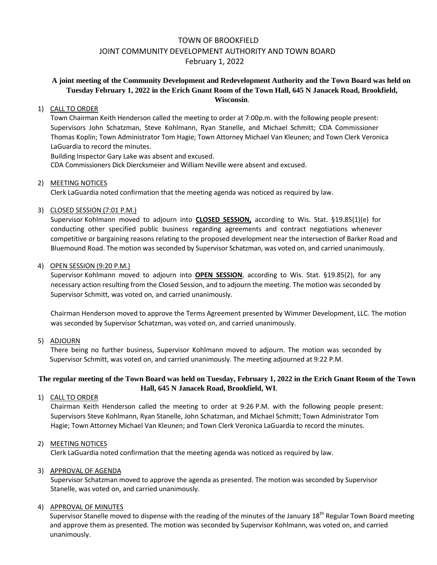# TOWN OF BROOKFIELD JOINT COMMUNITY DEVELOPMENT AUTHORITY AND TOWN BOARD February 1, 2022

## **A joint meeting of the Community Development and Redevelopment Authority and the Town Board was held on Tuesday February 1, 2022 in the Erich Gnant Room of the Town Hall, 645 N Janacek Road, Brookfield, Wisconsin**.

#### 1) CALL TO ORDER

Town Chairman Keith Henderson called the meeting to order at 7:00p.m. with the following people present: Supervisors John Schatzman, Steve Kohlmann, Ryan Stanelle, and Michael Schmitt; CDA Commissioner Thomas Koplin; Town Administrator Tom Hagie; Town Attorney Michael Van Kleunen; and Town Clerk Veronica LaGuardia to record the minutes.

Building Inspector Gary Lake was absent and excused. CDA Commissioners Dick Diercksmeier and William Neville were absent and excused.

#### 2) MEETING NOTICES

Clerk LaGuardia noted confirmation that the meeting agenda was noticed as required by law.

#### 3) CLOSED SESSION (7:01 P.M.)

Supervisor Kohlmann moved to adjourn into **CLOSED SESSION,** according to Wis. Stat. §19.85(1)(e) for conducting other specified public business regarding agreements and contract negotiations whenever competitive or bargaining reasons relating to the proposed development near the intersection of Barker Road and Bluemound Road. The motion was seconded by Supervisor Schatzman, was voted on, and carried unanimously.

#### 4) OPEN SESSION (9:20 P.M.)

Supervisor Kohlmann moved to adjourn into **OPEN SESSION**, according to Wis. Stat. §19.85(2), for any necessary action resulting from the Closed Session, and to adjourn the meeting. The motion was seconded by Supervisor Schmitt, was voted on, and carried unanimously.

Chairman Henderson moved to approve the Terms Agreement presented by Wimmer Development, LLC. The motion was seconded by Supervisor Schatzman, was voted on, and carried unanimously.

#### 5) ADJOURN

There being no further business, Supervisor Kohlmann moved to adjourn. The motion was seconded by Supervisor Schmitt, was voted on, and carried unanimously. The meeting adjourned at 9:22 P.M.

### **The regular meeting of the Town Board was held on Tuesday, February 1, 2022 in the Erich Gnant Room of the Town Hall, 645 N Janacek Road, Brookfield, WI**.

1) CALL TO ORDER

Chairman Keith Henderson called the meeting to order at 9:26 P.M. with the following people present: Supervisors Steve Kohlmann, Ryan Stanelle, John Schatzman, and Michael Schmitt; Town Administrator Tom Hagie; Town Attorney Michael Van Kleunen; and Town Clerk Veronica LaGuardia to record the minutes.

#### 2) MEETING NOTICES

Clerk LaGuardia noted confirmation that the meeting agenda was noticed as required by law.

#### 3) APPROVAL OF AGENDA

Supervisor Schatzman moved to approve the agenda as presented. The motion was seconded by Supervisor Stanelle, was voted on, and carried unanimously.

#### 4) APPROVAL OF MINUTES

Supervisor Stanelle moved to dispense with the reading of the minutes of the January 18<sup>th</sup> Regular Town Board meeting and approve them as presented. The motion was seconded by Supervisor Kohlmann, was voted on, and carried unanimously.